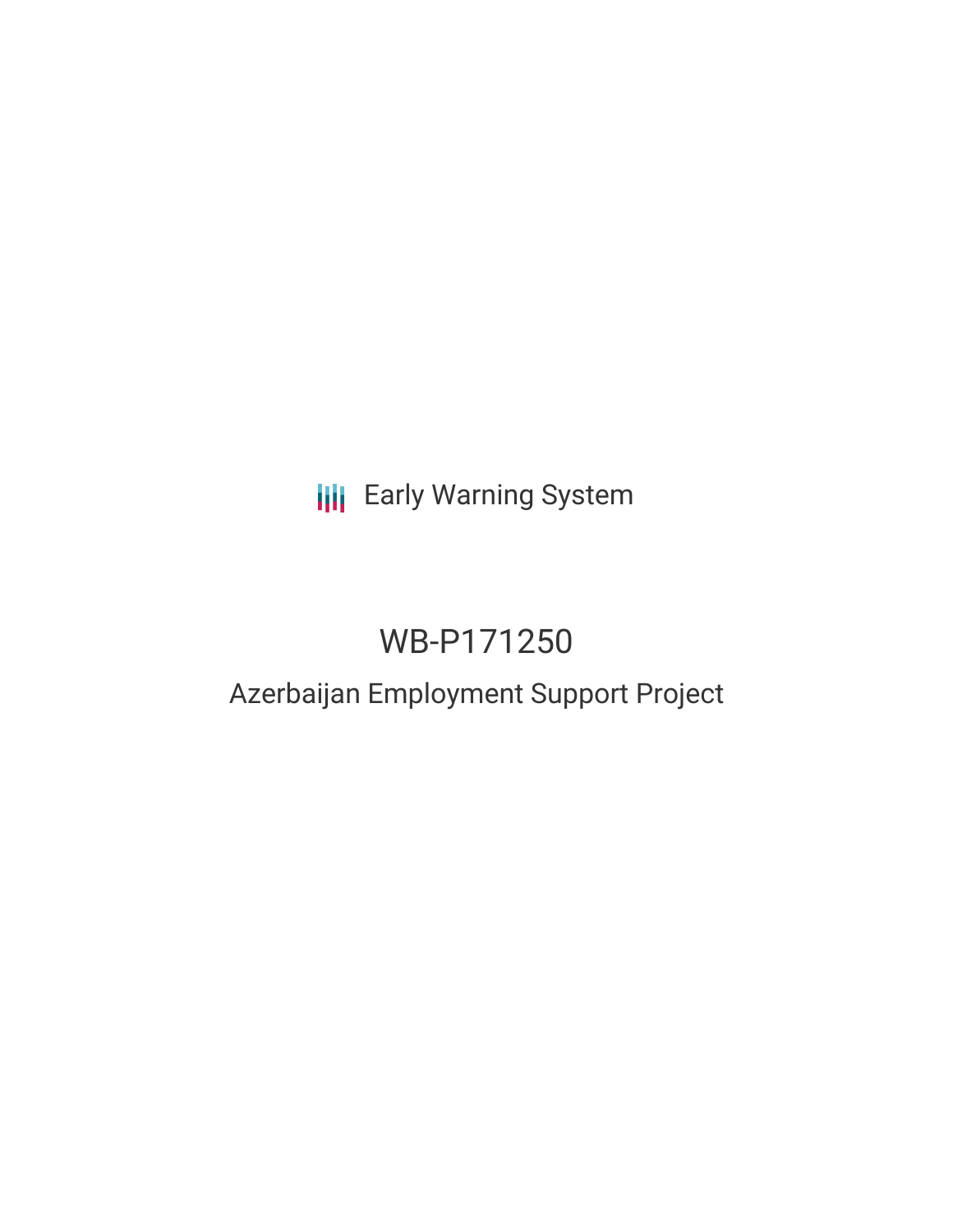# **III** Early Warning System

# WB-P171250

### Azerbaijan Employment Support Project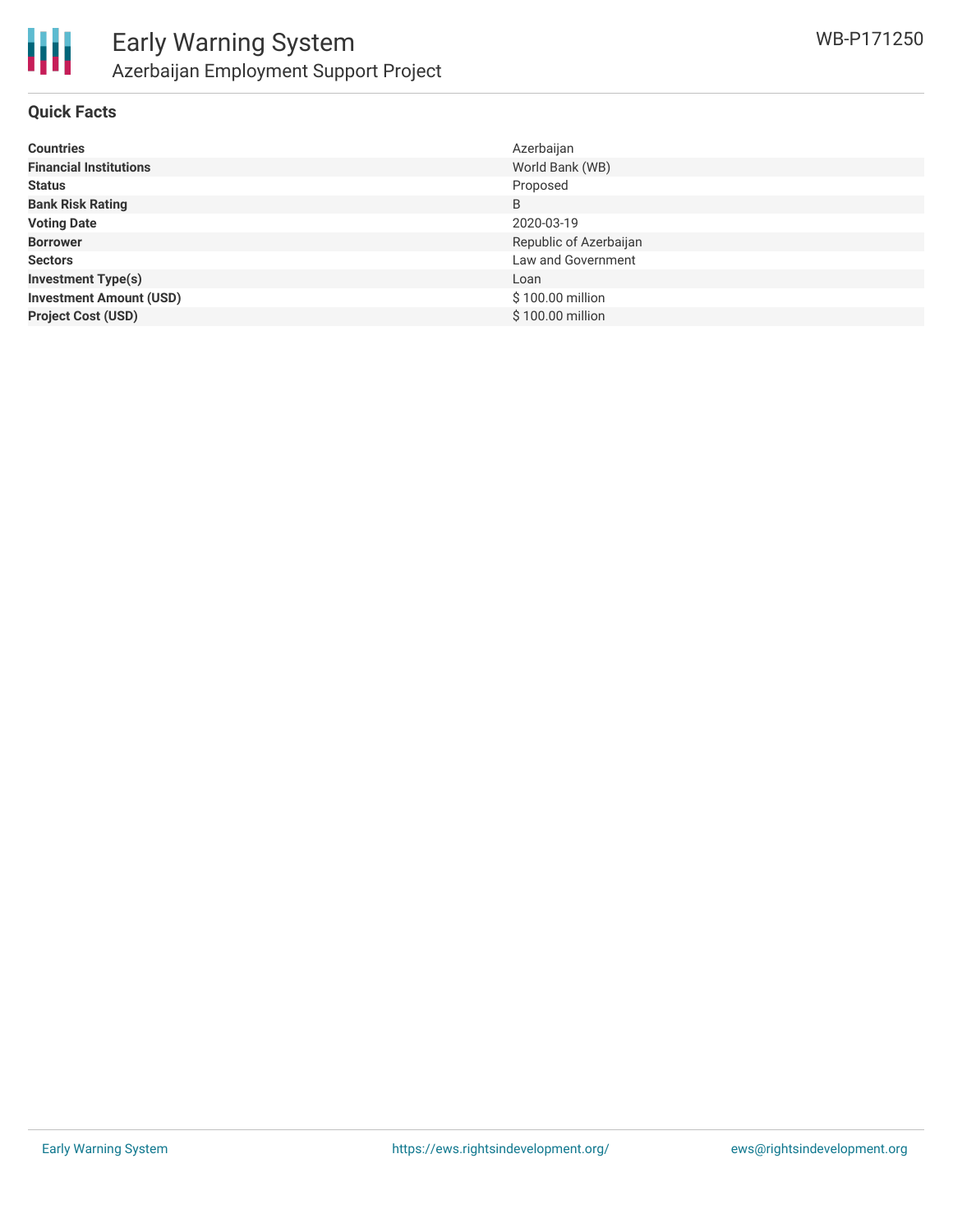

#### **Quick Facts**

| <b>Countries</b>               | Azerbaijan             |
|--------------------------------|------------------------|
| <b>Financial Institutions</b>  | World Bank (WB)        |
| <b>Status</b>                  | Proposed               |
| <b>Bank Risk Rating</b>        | B                      |
| <b>Voting Date</b>             | 2020-03-19             |
| <b>Borrower</b>                | Republic of Azerbaijan |
| <b>Sectors</b>                 | Law and Government     |
| <b>Investment Type(s)</b>      | Loan                   |
| <b>Investment Amount (USD)</b> | \$100.00 million       |
| <b>Project Cost (USD)</b>      | \$100.00 million       |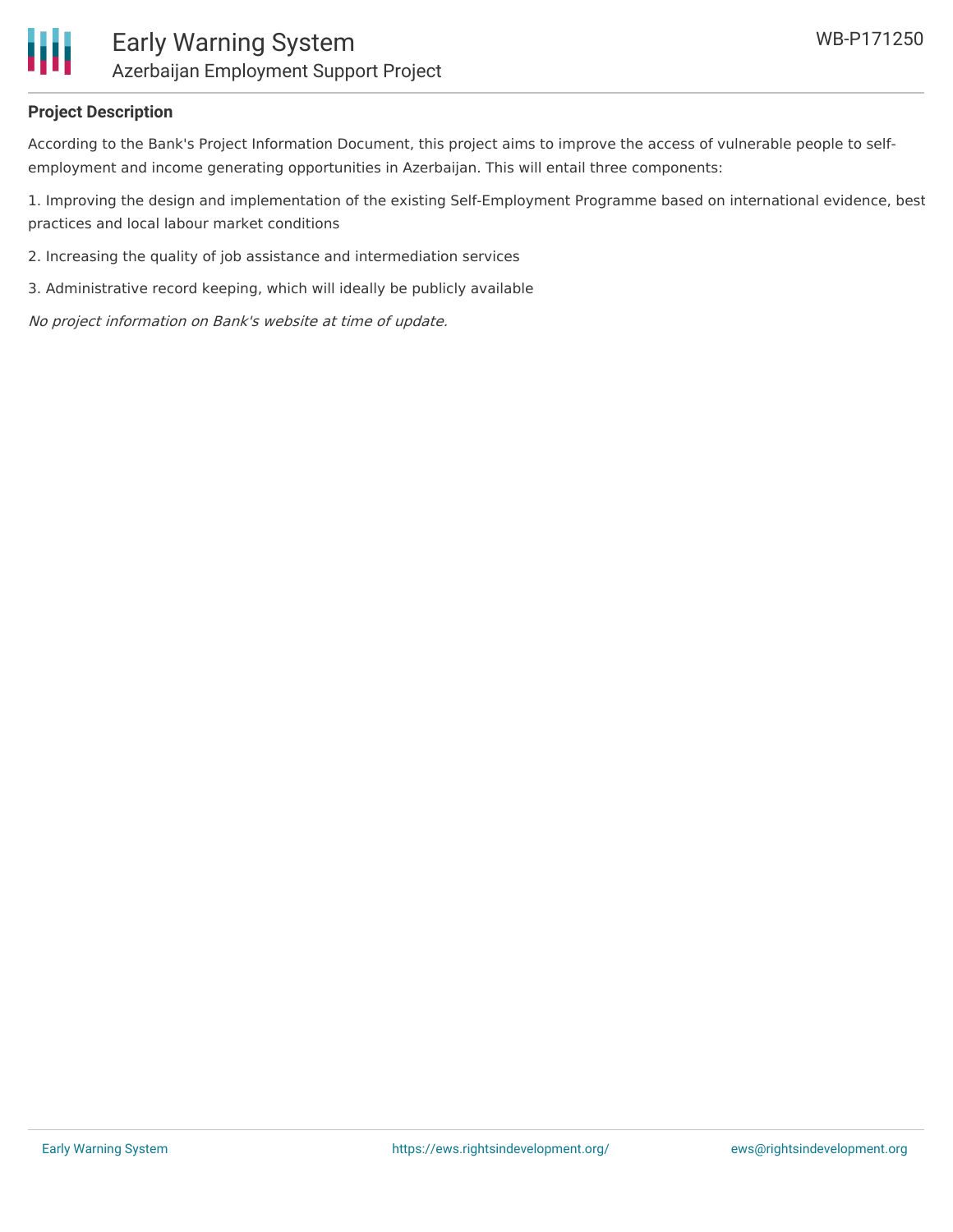

#### **Project Description**

According to the Bank's Project Information Document, this project aims to improve the access of vulnerable people to selfemployment and income generating opportunities in Azerbaijan. This will entail three components:

1. Improving the design and implementation of the existing Self-Employment Programme based on international evidence, best practices and local labour market conditions

- 2. Increasing the quality of job assistance and intermediation services
- 3. Administrative record keeping, which will ideally be publicly available

No project information on Bank's website at time of update.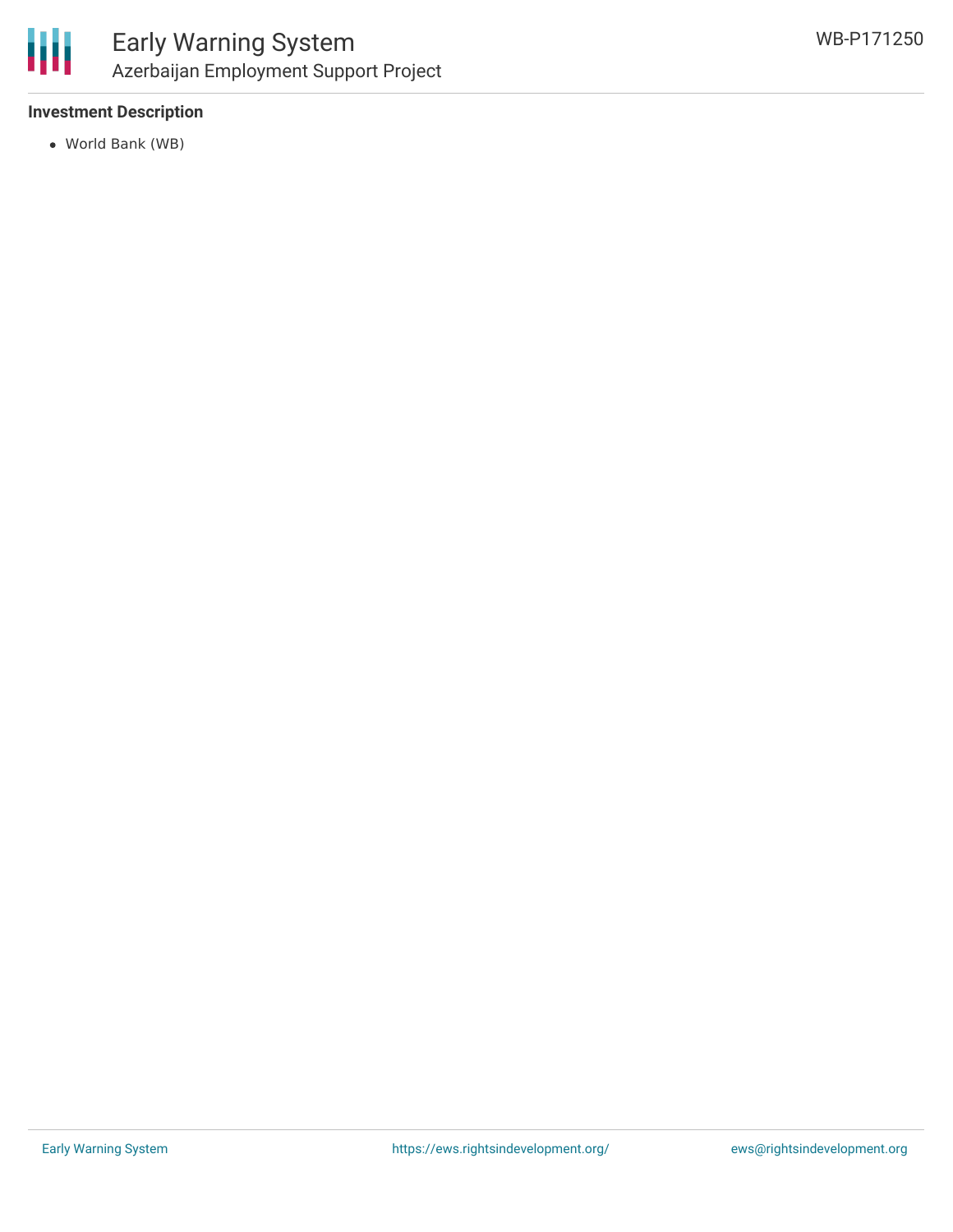

### **Investment Description**

World Bank (WB)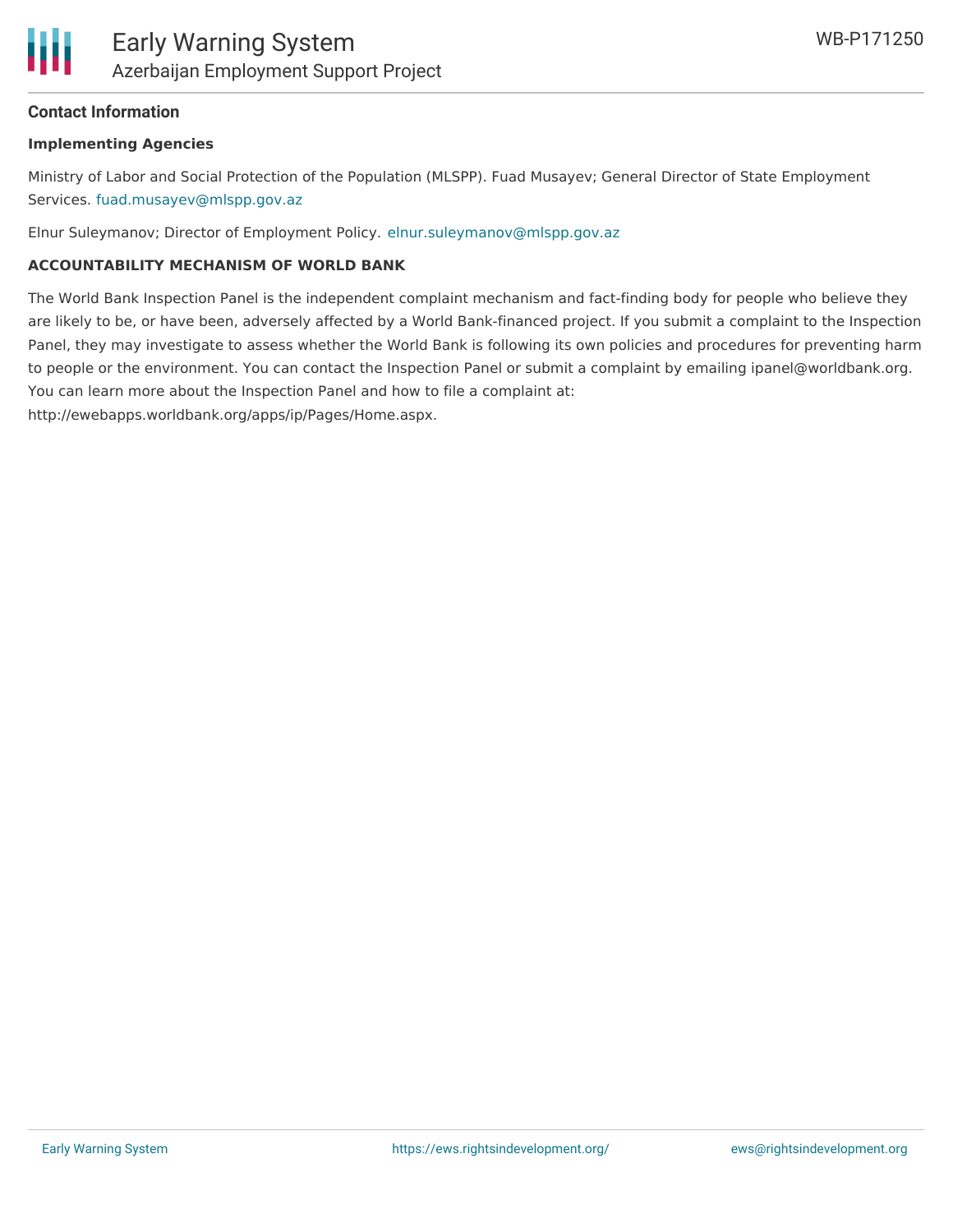

#### **Contact Information**

#### **Implementing Agencies**

Ministry of Labor and Social Protection of the Population (MLSPP). Fuad Musayev; General Director of State Employment Services. [fuad.musayev@mlspp.gov.az](mailto:fuad.musayev@mlspp.gov.az)

Elnur Suleymanov; Director of Employment Policy. [elnur.suleymanov@mlspp.gov.az](mailto:elnur.suleymanov@mlspp.gov.az)

#### **ACCOUNTABILITY MECHANISM OF WORLD BANK**

The World Bank Inspection Panel is the independent complaint mechanism and fact-finding body for people who believe they are likely to be, or have been, adversely affected by a World Bank-financed project. If you submit a complaint to the Inspection Panel, they may investigate to assess whether the World Bank is following its own policies and procedures for preventing harm to people or the environment. You can contact the Inspection Panel or submit a complaint by emailing ipanel@worldbank.org. You can learn more about the Inspection Panel and how to file a complaint at:

http://ewebapps.worldbank.org/apps/ip/Pages/Home.aspx.